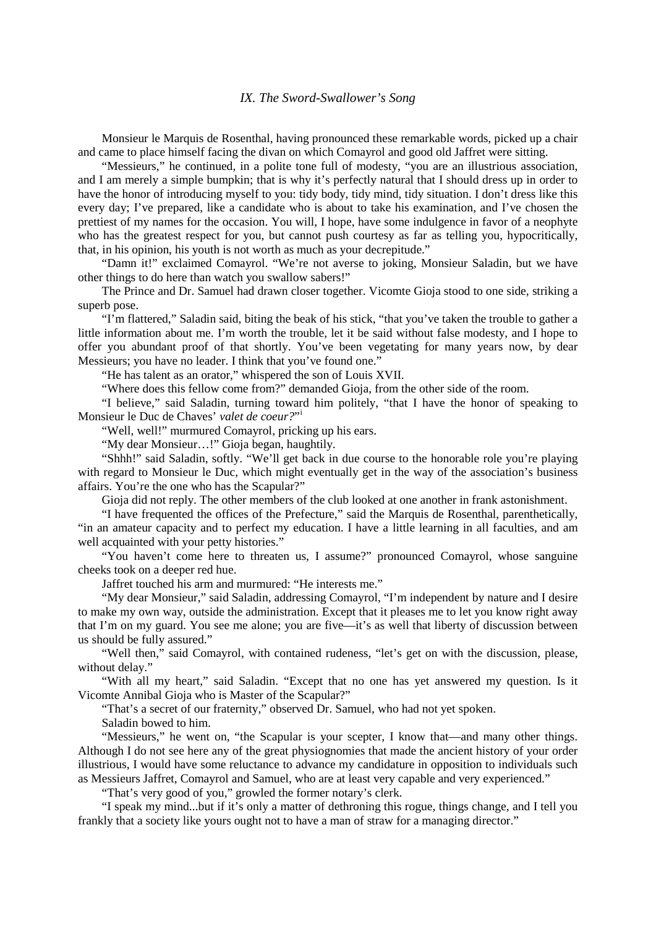## *IX. The Sword-Swallower's Song*

Monsieur le Marquis de Rosenthal, having pronounced these remarkable words, picked up a chair and came to place himself facing the divan on which Comayrol and good old Jaffret were sitting.

"Messieurs," he continued, in a polite tone full of modesty, "you are an illustrious association, and I am merely a simple bumpkin; that is why it's perfectly natural that I should dress up in order to have the honor of introducing myself to you: tidy body, tidy mind, tidy situation. I don't dress like this every day; I've prepared, like a candidate who is about to take his examination, and I've chosen the prettiest of my names for the occasion. You will, I hope, have some indulgence in favor of a neophyte who has the greatest respect for you, but cannot push courtesy as far as telling you, hypocritically, that, in his opinion, his youth is not worth as much as your decrepitude."

"Damn it!" exclaimed Comayrol. "We're not averse to joking, Monsieur Saladin, but we have other things to do here than watch you swallow sabers!"

The Prince and Dr. Samuel had drawn closer together. Vicomte Gioja stood to one side, striking a superb pose.

"I'm flattered," Saladin said, biting the beak of his stick, "that you've taken the trouble to gather a little information about me. I'm worth the trouble, let it be said without false modesty, and I hope to offer you abundant proof of that shortly. You've been vegetating for many years now, by dear Messieurs; you have no leader. I think that you've found one."

"He has talent as an orator," whispered the son of Louis XVII.

"Where does this fellow come from?" demanded Gioja, from the other side of the room.

"I believe," said Saladin, turning toward him politely, "that I have the honor of speaking to Monsieur le Duc de Chaves' *valet de coeur?*"[i](#page-2-0)

"Well, well!" murmured Comayrol, pricking up his ears.

"My dear Monsieur…!" Gioja began, haughtily.

"Shhh!" said Saladin, softly. "We'll get back in due course to the honorable role you're playing with regard to Monsieur le Duc, which might eventually get in the way of the association's business affairs. You're the one who has the Scapular?"

Gioja did not reply. The other members of the club looked at one another in frank astonishment.

"I have frequented the offices of the Prefecture," said the Marquis de Rosenthal, parenthetically, "in an amateur capacity and to perfect my education. I have a little learning in all faculties, and am well acquainted with your petty histories."

"You haven't come here to threaten us, I assume?" pronounced Comayrol, whose sanguine cheeks took on a deeper red hue.

Jaffret touched his arm and murmured: "He interests me."

"My dear Monsieur," said Saladin, addressing Comayrol, "I'm independent by nature and I desire to make my own way, outside the administration. Except that it pleases me to let you know right away that I'm on my guard. You see me alone; you are five—it's as well that liberty of discussion between us should be fully assured."

"Well then," said Comayrol, with contained rudeness, "let's get on with the discussion, please, without delay."

"With all my heart," said Saladin. "Except that no one has yet answered my question. Is it Vicomte Annibal Gioja who is Master of the Scapular?"

"That's a secret of our fraternity," observed Dr. Samuel, who had not yet spoken.

Saladin bowed to him.

"Messieurs," he went on, "the Scapular is your scepter, I know that—and many other things. Although I do not see here any of the great physiognomies that made the ancient history of your order illustrious, I would have some reluctance to advance my candidature in opposition to individuals such as Messieurs Jaffret, Comayrol and Samuel, who are at least very capable and very experienced."

"That's very good of you," growled the former notary's clerk.

"I speak my mind...but if it's only a matter of dethroning this rogue, things change, and I tell you frankly that a society like yours ought not to have a man of straw for a managing director."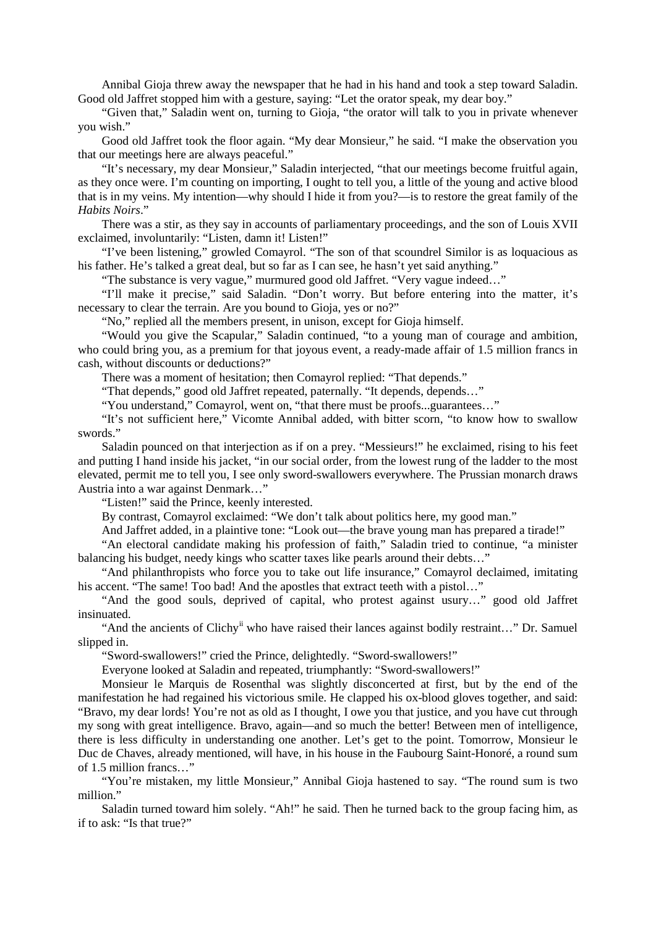Annibal Gioja threw away the newspaper that he had in his hand and took a step toward Saladin. Good old Jaffret stopped him with a gesture, saying: "Let the orator speak, my dear boy."

"Given that," Saladin went on, turning to Gioja, "the orator will talk to you in private whenever you wish."

Good old Jaffret took the floor again. "My dear Monsieur," he said. "I make the observation you that our meetings here are always peaceful."

"It's necessary, my dear Monsieur," Saladin interjected, "that our meetings become fruitful again, as they once were. I'm counting on importing, I ought to tell you, a little of the young and active blood that is in my veins. My intention—why should I hide it from you?—is to restore the great family of the *Habits Noirs*."

There was a stir, as they say in accounts of parliamentary proceedings, and the son of Louis XVII exclaimed, involuntarily: "Listen, damn it! Listen!"

"I've been listening," growled Comayrol. "The son of that scoundrel Similor is as loquacious as his father. He's talked a great deal, but so far as I can see, he hasn't yet said anything."

"The substance is very vague," murmured good old Jaffret. "Very vague indeed…"

"I'll make it precise," said Saladin. "Don't worry. But before entering into the matter, it's necessary to clear the terrain. Are you bound to Gioja, yes or no?"

"No," replied all the members present, in unison, except for Gioja himself.

"Would you give the Scapular," Saladin continued, "to a young man of courage and ambition, who could bring you, as a premium for that joyous event, a ready-made affair of 1.5 million francs in cash, without discounts or deductions?"

There was a moment of hesitation; then Comayrol replied: "That depends."

"That depends," good old Jaffret repeated, paternally. "It depends, depends…"

"You understand," Comayrol, went on, "that there must be proofs...guarantees…"

"It's not sufficient here," Vicomte Annibal added, with bitter scorn, "to know how to swallow swords."

Saladin pounced on that interjection as if on a prey. "Messieurs!" he exclaimed, rising to his feet and putting I hand inside his jacket, "in our social order, from the lowest rung of the ladder to the most elevated, permit me to tell you, I see only sword-swallowers everywhere. The Prussian monarch draws Austria into a war against Denmark…"

"Listen!" said the Prince, keenly interested.

By contrast, Comayrol exclaimed: "We don't talk about politics here, my good man."

And Jaffret added, in a plaintive tone: "Look out—the brave young man has prepared a tirade!"

"An electoral candidate making his profession of faith," Saladin tried to continue, "a minister balancing his budget, needy kings who scatter taxes like pearls around their debts…"

"And philanthropists who force you to take out life insurance," Comayrol declaimed, imitating his accent. "The same! Too bad! And the apostles that extract teeth with a pistol..."

"And the good souls, deprived of capital, who protest against usury…" good old Jaffret insinuated.

"And the ancients of Clichy<sup>[ii](#page-2-1)</sup> who have raised their lances against bodily restraint..." Dr. Samuel slipped in.

"Sword-swallowers!" cried the Prince, delightedly. "Sword-swallowers!"

Everyone looked at Saladin and repeated, triumphantly: "Sword-swallowers!"

Monsieur le Marquis de Rosenthal was slightly disconcerted at first, but by the end of the manifestation he had regained his victorious smile. He clapped his ox-blood gloves together, and said: "Bravo, my dear lords! You're not as old as I thought, I owe you that justice, and you have cut through my song with great intelligence. Bravo, again—and so much the better! Between men of intelligence, there is less difficulty in understanding one another. Let's get to the point. Tomorrow, Monsieur le Duc de Chaves, already mentioned, will have, in his house in the Faubourg Saint-Honoré, a round sum of 1.5 million francs…"

"You're mistaken, my little Monsieur," Annibal Gioja hastened to say. "The round sum is two million."

Saladin turned toward him solely. "Ah!" he said. Then he turned back to the group facing him, as if to ask: "Is that true?"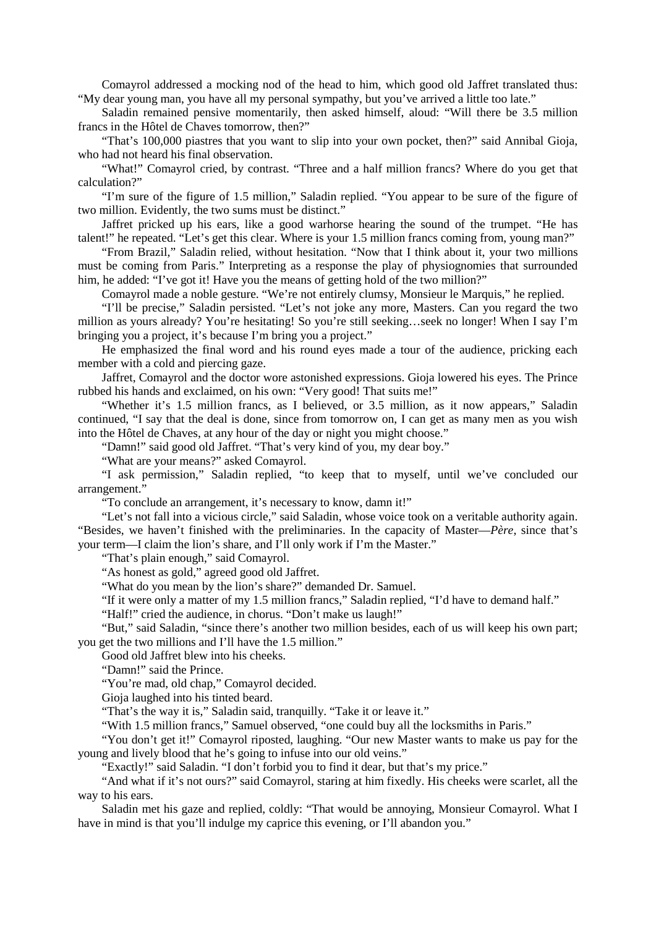Comayrol addressed a mocking nod of the head to him, which good old Jaffret translated thus: "My dear young man, you have all my personal sympathy, but you've arrived a little too late."

Saladin remained pensive momentarily, then asked himself, aloud: "Will there be 3.5 million francs in the Hôtel de Chaves tomorrow, then?"

"That's 100,000 piastres that you want to slip into your own pocket, then?" said Annibal Gioja, who had not heard his final observation.

"What!" Comayrol cried, by contrast. "Three and a half million francs? Where do you get that calculation?"

"I'm sure of the figure of 1.5 million," Saladin replied. "You appear to be sure of the figure of two million. Evidently, the two sums must be distinct."

Jaffret pricked up his ears, like a good warhorse hearing the sound of the trumpet. "He has talent!" he repeated. "Let's get this clear. Where is your 1.5 million francs coming from, young man?"

<span id="page-2-0"></span>"From Brazil," Saladin relied, without hesitation. "Now that I think about it, your two millions must be coming from Paris." Interpreting as a response the play of physiognomies that surrounded him, he added: "I've got it! Have you the means of getting hold of the two million?"

Comayrol made a noble gesture. "We're not entirely clumsy, Monsieur le Marquis," he replied.

<span id="page-2-1"></span>"I'll be precise," Saladin persisted. "Let's not joke any more, Masters. Can you regard the two million as yours already? You're hesitating! So you're still seeking…seek no longer! When I say I'm bringing you a project, it's because I'm bring you a project."

He emphasized the final word and his round eyes made a tour of the audience, pricking each member with a cold and piercing gaze.

Jaffret, Comayrol and the doctor wore astonished expressions. Gioja lowered his eyes. The Prince rubbed his hands and exclaimed, on his own: "Very good! That suits me!"

"Whether it's 1.5 million francs, as I believed, or 3.5 million, as it now appears," Saladin continued, "I say that the deal is done, since from tomorrow on, I can get as many men as you wish into the Hôtel de Chaves, at any hour of the day or night you might choose."

"Damn!" said good old Jaffret. "That's very kind of you, my dear boy."

"What are your means?" asked Comayrol.

"I ask permission," Saladin replied, "to keep that to myself, until we've concluded our arrangement."

"To conclude an arrangement, it's necessary to know, damn it!"

"Let's not fall into a vicious circle," said Saladin, whose voice took on a veritable authority again. "Besides, we haven't finished with the preliminaries. In the capacity of Master—*Père*, since that's your term—I claim the lion's share, and I'll only work if I'm the Master."

"That's plain enough," said Comayrol.

"As honest as gold," agreed good old Jaffret.

"What do you mean by the lion's share?" demanded Dr. Samuel.

"If it were only a matter of my 1.5 million francs," Saladin replied, "I'd have to demand half."

"Half!" cried the audience, in chorus. "Don't make us laugh!"

"But," said Saladin, "since there's another two million besides, each of us will keep his own part; you get the two millions and I'll have the 1.5 million."

Good old Jaffret blew into his cheeks.

"Damn!" said the Prince.

"You're mad, old chap," Comayrol decided.

Gioja laughed into his tinted beard.

"That's the way it is," Saladin said, tranquilly. "Take it or leave it."

"With 1.5 million francs," Samuel observed, "one could buy all the locksmiths in Paris."

"You don't get it!" Comayrol riposted, laughing. "Our new Master wants to make us pay for the young and lively blood that he's going to infuse into our old veins."

"Exactly!" said Saladin. "I don't forbid you to find it dear, but that's my price."

"And what if it's not ours?" said Comayrol, staring at him fixedly. His cheeks were scarlet, all the way to his ears.

Saladin met his gaze and replied, coldly: "That would be annoying, Monsieur Comayrol. What I have in mind is that you'll indulge my caprice this evening, or I'll abandon you."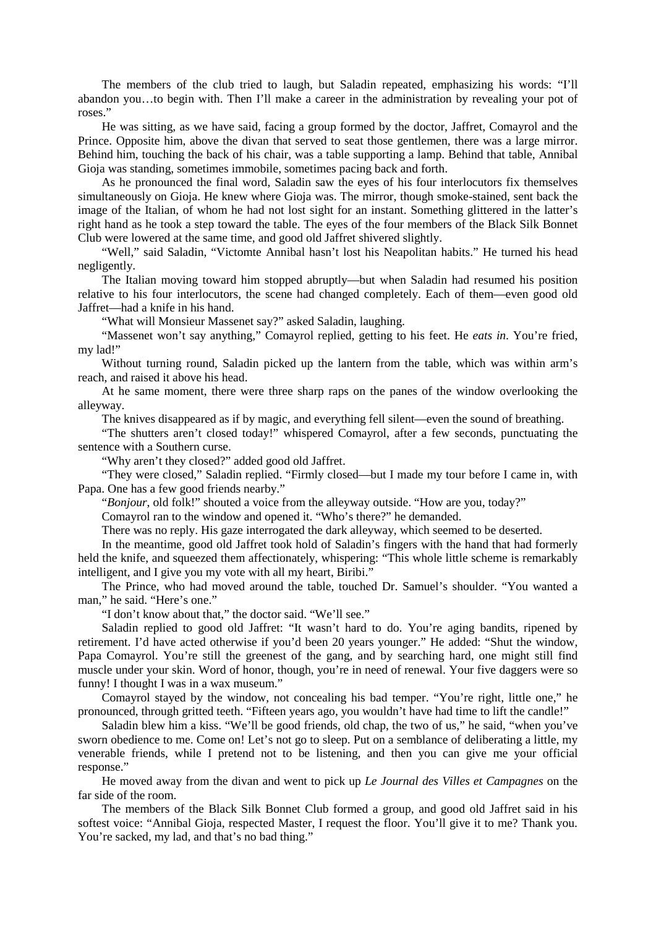The members of the club tried to laugh, but Saladin repeated, emphasizing his words: "I'll abandon you…to begin with. Then I'll make a career in the administration by revealing your pot of roses."

He was sitting, as we have said, facing a group formed by the doctor, Jaffret, Comayrol and the Prince. Opposite him, above the divan that served to seat those gentlemen, there was a large mirror. Behind him, touching the back of his chair, was a table supporting a lamp. Behind that table, Annibal Gioja was standing, sometimes immobile, sometimes pacing back and forth.

As he pronounced the final word, Saladin saw the eyes of his four interlocutors fix themselves simultaneously on Gioja. He knew where Gioja was. The mirror, though smoke-stained, sent back the image of the Italian, of whom he had not lost sight for an instant. Something glittered in the latter's right hand as he took a step toward the table. The eyes of the four members of the Black Silk Bonnet Club were lowered at the same time, and good old Jaffret shivered slightly.

"Well," said Saladin, "Victomte Annibal hasn't lost his Neapolitan habits." He turned his head negligently.

The Italian moving toward him stopped abruptly—but when Saladin had resumed his position relative to his four interlocutors, the scene had changed completely. Each of them—even good old Jaffret—had a knife in his hand.

"What will Monsieur Massenet say?" asked Saladin, laughing.

"Massenet won't say anything," Comayrol replied, getting to his feet. He *eats in*. You're fried, my lad!"

Without turning round, Saladin picked up the lantern from the table, which was within arm's reach, and raised it above his head.

At he same moment, there were three sharp raps on the panes of the window overlooking the alleyway.

The knives disappeared as if by magic, and everything fell silent—even the sound of breathing.

"The shutters aren't closed today!" whispered Comayrol, after a few seconds, punctuating the sentence with a Southern curse.

"Why aren't they closed?" added good old Jaffret.

"They were closed," Saladin replied. "Firmly closed—but I made my tour before I came in, with Papa. One has a few good friends nearby."

"*Bonjour*, old folk!" shouted a voice from the alleyway outside. "How are you, today?"

Comayrol ran to the window and opened it. "Who's there?" he demanded.

There was no reply. His gaze interrogated the dark alleyway, which seemed to be deserted.

In the meantime, good old Jaffret took hold of Saladin's fingers with the hand that had formerly held the knife, and squeezed them affectionately, whispering: "This whole little scheme is remarkably intelligent, and I give you my vote with all my heart, Biribi."

The Prince, who had moved around the table, touched Dr. Samuel's shoulder. "You wanted a man," he said. "Here's one."

"I don't know about that," the doctor said. "We'll see."

Saladin replied to good old Jaffret: "It wasn't hard to do. You're aging bandits, ripened by retirement. I'd have acted otherwise if you'd been 20 years younger." He added: "Shut the window, Papa Comayrol. You're still the greenest of the gang, and by searching hard, one might still find muscle under your skin. Word of honor, though, you're in need of renewal. Your five daggers were so funny! I thought I was in a wax museum."

Comayrol stayed by the window, not concealing his bad temper. "You're right, little one," he pronounced, through gritted teeth. "Fifteen years ago, you wouldn't have had time to lift the candle!"

Saladin blew him a kiss. "We'll be good friends, old chap, the two of us," he said, "when you've sworn obedience to me. Come on! Let's not go to sleep. Put on a semblance of deliberating a little, my venerable friends, while I pretend not to be listening, and then you can give me your official response."

He moved away from the divan and went to pick up *Le Journal des Villes et Campagnes* on the far side of the room.

The members of the Black Silk Bonnet Club formed a group, and good old Jaffret said in his softest voice: "Annibal Gioja, respected Master, I request the floor. You'll give it to me? Thank you. You're sacked, my lad, and that's no bad thing."